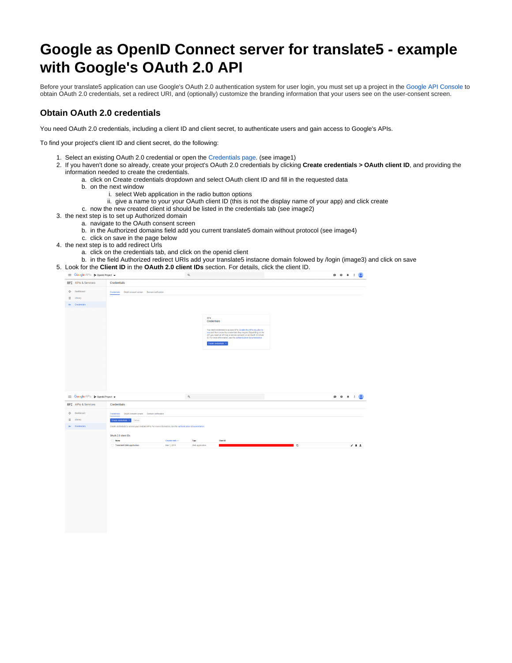## **Google as OpenID Connect server for translate5 - example with Google's OAuth 2.0 API**

Before your translate5 application can use Google's OAuth 2.0 authentication system for user login, you must set up a project in the [Google API Console](https://console.developers.google.com/) to obtain OAuth 2.0 credentials, set a redirect URI, and (optionally) customize the branding information that your users see on the user-consent screen.

## **Obtain OAuth 2.0 credentials**

You need OAuth 2.0 credentials, including a client ID and client secret, to authenticate users and gain access to Google's APIs.

To find your project's client ID and client secret, do the following:

- 1. Select an existing OAuth 2.0 credential or open the [Credentials page](https://console.developers.google.com/apis/credentials). (see image1)
- 2. If you haven't done so already, create your project's OAuth 2.0 credentials by clicking **Create credentials > OAuth client ID**, and providing the information needed to create the credentials.
	- a. click on Create credentials dropdown and select OAuth client ID and fill in the requested data
	- b. on the next window
		- i. select Web application in the radio button options ii. give a name to your your OAuth client ID (this is not the display name of your app) and click create
	- c. now the new created client id should be listed in the credentials tab (see image2)
- 3. the next step is to set up Authorized domain
	- a. navigate to the OAuth consent screen
	- b. in the Authorized domains field add you current translate5 domain without protocol (see image4)
	- c. click on save in the page below
- 4. the next step is to add redirect Urls
	- a. click on the credentials tab, and click on the openid client
- b. in the field Authorized redirect URIs add your translate5 instacne domain folowed by /login (image3) and click on save
- 5. Look for the **Client ID** in the **OAuth 2.0 client IDs** section. For details, click the client ID.

| Google APIs : OpenId Project -   |                                                                                                             | $\mathsf{Q}_i$                                                                                                                                                                                                                                                                                                                  | $0$ 0 $0$ $\rightarrow$ $\rightarrow$ $\rightarrow$ $\rightarrow$ |
|----------------------------------|-------------------------------------------------------------------------------------------------------------|---------------------------------------------------------------------------------------------------------------------------------------------------------------------------------------------------------------------------------------------------------------------------------------------------------------------------------|-------------------------------------------------------------------|
| <b>RPI</b> APIs & Services       | Credentials                                                                                                 |                                                                                                                                                                                                                                                                                                                                 |                                                                   |
| ÷<br>Dashboard<br>쁦<br>Library   |                                                                                                             |                                                                                                                                                                                                                                                                                                                                 |                                                                   |
| Ov Credentials                   |                                                                                                             |                                                                                                                                                                                                                                                                                                                                 |                                                                   |
|                                  |                                                                                                             | APIs<br>Credentials<br>You need credentials to access APIs. Enable the APIs you plan to<br>use and then create the credentials they require. Depending on the<br>API, you need an API key, a service account, or an OAuth 2.0 client<br>ID. For more information, see the authentication documentation.<br>Create credentials + |                                                                   |
| Google APIs : + OpenId Project + |                                                                                                             | $\hbox{\tt Q}$                                                                                                                                                                                                                                                                                                                  | 00110                                                             |
|                                  |                                                                                                             |                                                                                                                                                                                                                                                                                                                                 |                                                                   |
| <b>RPI</b> APIs & Services       | Credentials                                                                                                 |                                                                                                                                                                                                                                                                                                                                 |                                                                   |
| ÷<br>Dashboard                   |                                                                                                             |                                                                                                                                                                                                                                                                                                                                 |                                                                   |
| $\frac{111}{114}$<br>Library     | Create credentials > Delete                                                                                 |                                                                                                                                                                                                                                                                                                                                 |                                                                   |
| ov Credentials                   | Create credentials to access your enabled APIs. For more information, see the authentication documentation. |                                                                                                                                                                                                                                                                                                                                 |                                                                   |
|                                  | OAuth 2.0 client IDs                                                                                        |                                                                                                                                                                                                                                                                                                                                 |                                                                   |
|                                  | Name<br>Translate5 Web application                                                                          | Creation date $\sim$<br>Type<br>Client ID<br>Mar 1, 2019<br>Web application                                                                                                                                                                                                                                                     | ∎ ६<br>$7.7 \pm$                                                  |